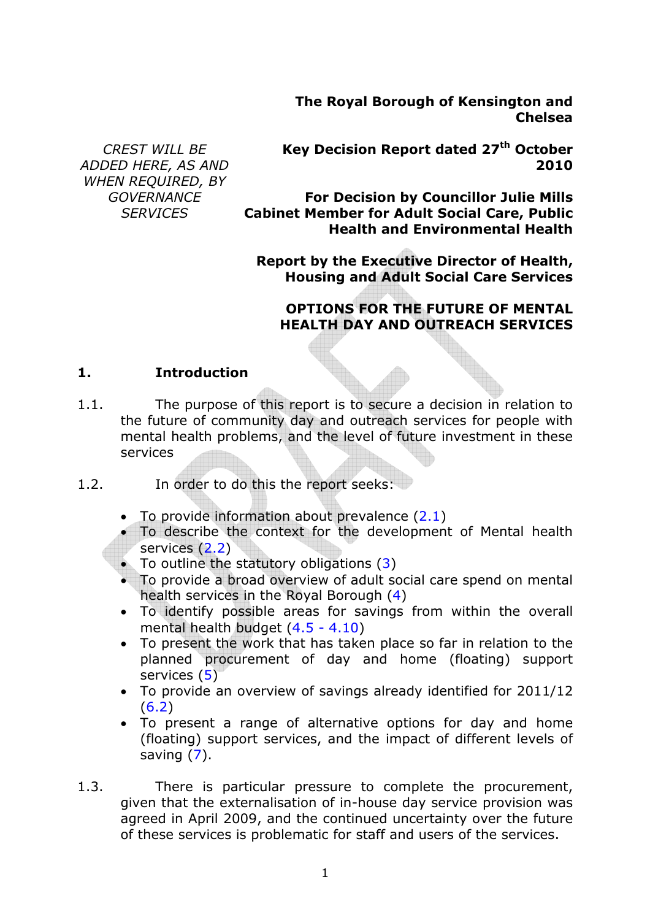**The Royal Borough of Kensington and Chelsea**

*CREST WILL BE ADDED HERE, AS AND WHEN REQUIRED, BY GOVERNANCE SERVICES* 

**Key Decision Report dated 27th October 2010**

**For Decision by Councillor Julie Mills Cabinet Member for Adult Social Care, Public Health and Environmental Health**

**Report by the Executive Director of Health, Housing and Adult Social Care Services**

#### **OPTIONS FOR THE FUTURE OF MENTAL HEALTH DAY AND OUTREACH SERVICES**

#### **1. Introduction**

- 1.1. The purpose of this report is to secure a decision in relation to the future of community day and outreach services for people with mental health problems, and the level of future investment in these services
- 1.2. In order to do this the report seeks:
	- To provide information about prevalence  $(2.1)$
	- To describe the context for the development of Mental health services (2.2)
	- To outline the statutory obligations (3)
	- To provide a broad overview of adult social care spend on mental health services in the Royal Borough (4)
	- To identify possible areas for savings from within the overall mental health budget (4.5 - 4.10)
	- To present the work that has taken place so far in relation to the planned procurement of day and home (floating) support services (5)
	- To provide an overview of savings already identified for 2011/12  $(6.2)$
	- To present a range of alternative options for day and home (floating) support services, and the impact of different levels of saving  $(7)$ .
- 1.3. There is particular pressure to complete the procurement, given that the externalisation of in-house day service provision was agreed in April 2009, and the continued uncertainty over the future of these services is problematic for staff and users of the services.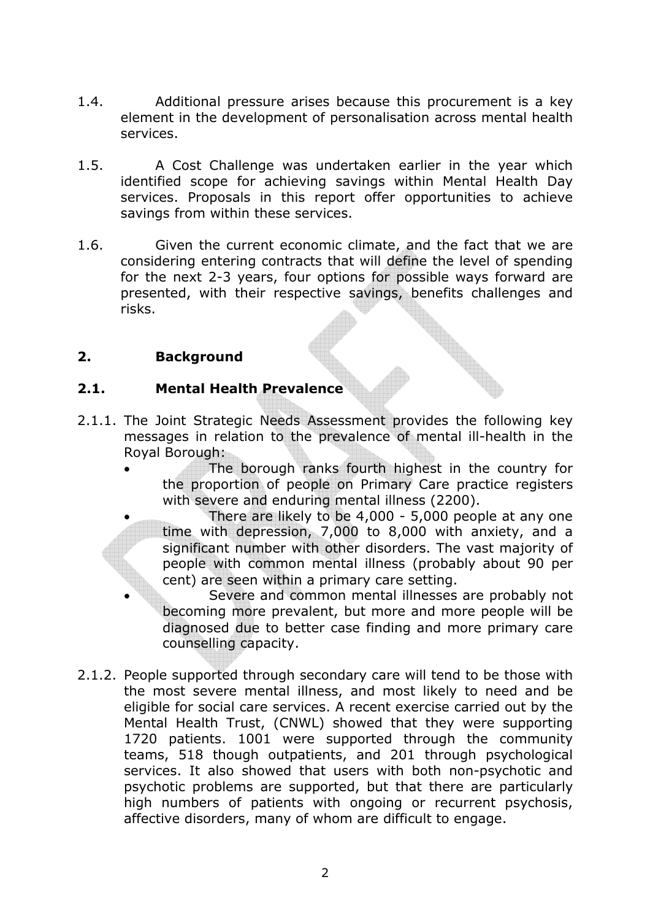- 1.4. Additional pressure arises because this procurement is a key element in the development of personalisation across mental health services.
- 1.5. A Cost Challenge was undertaken earlier in the year which identified scope for achieving savings within Mental Health Day services. Proposals in this report offer opportunities to achieve savings from within these services.
- 1.6. Given the current economic climate, and the fact that we are considering entering contracts that will define the level of spending for the next 2-3 years, four options for possible ways forward are presented, with their respective savings, benefits challenges and risks.

## **2. Background**

## **2.1. Mental Health Prevalence**

- 2.1.1. The Joint Strategic Needs Assessment provides the following key messages in relation to the prevalence of mental ill-health in the Royal Borough:
	- The borough ranks fourth highest in the country for the proportion of people on Primary Care practice registers with severe and enduring mental illness (2200).
		- There are likely to be 4,000 5,000 people at any one time with depression, 7,000 to 8,000 with anxiety, and a significant number with other disorders. The vast majority of people with common mental illness (probably about 90 per cent) are seen within a primary care setting.

Severe and common mental illnesses are probably not becoming more prevalent, but more and more people will be diagnosed due to better case finding and more primary care counselling capacity.

2.1.2. People supported through secondary care will tend to be those with the most severe mental illness, and most likely to need and be eligible for social care services. A recent exercise carried out by the Mental Health Trust, (CNWL) showed that they were supporting 1720 patients. 1001 were supported through the community teams, 518 though outpatients, and 201 through psychological services. It also showed that users with both non-psychotic and psychotic problems are supported, but that there are particularly high numbers of patients with ongoing or recurrent psychosis, affective disorders, many of whom are difficult to engage.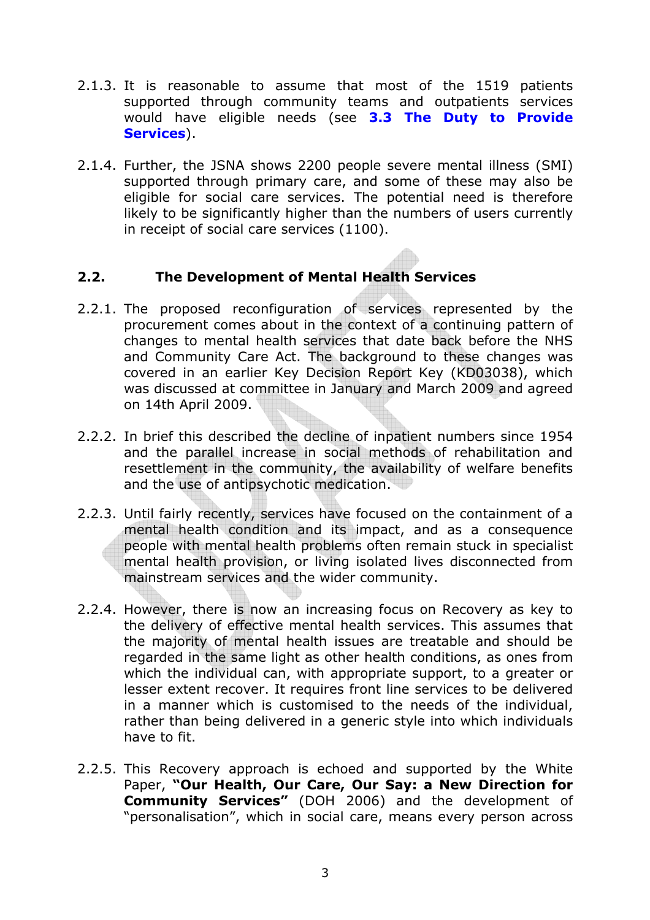- 2.1.3. It is reasonable to assume that most of the 1519 patients supported through community teams and outpatients services would have eligible needs (see **3.3 The Duty to Provide Services**).
- 2.1.4. Further, the JSNA shows 2200 people severe mental illness (SMI) supported through primary care, and some of these may also be eligible for social care services. The potential need is therefore likely to be significantly higher than the numbers of users currently in receipt of social care services (1100).

### **2.2. The Development of Mental Health Services**

- 2.2.1. The proposed reconfiguration of services represented by the procurement comes about in the context of a continuing pattern of changes to mental health services that date back before the NHS and Community Care Act. The background to these changes was covered in an earlier Key Decision Report Key (KD03038), which was discussed at committee in January and March 2009 and agreed on 14th April 2009.
- 2.2.2. In brief this described the decline of inpatient numbers since 1954 and the parallel increase in social methods of rehabilitation and resettlement in the community, the availability of welfare benefits and the use of antipsychotic medication.
- 2.2.3. Until fairly recently, services have focused on the containment of a mental health condition and its impact, and as a consequence people with mental health problems often remain stuck in specialist mental health provision, or living isolated lives disconnected from mainstream services and the wider community.
- 2.2.4. However, there is now an increasing focus on Recovery as key to the delivery of effective mental health services. This assumes that the majority of mental health issues are treatable and should be regarded in the same light as other health conditions, as ones from which the individual can, with appropriate support, to a greater or lesser extent recover. It requires front line services to be delivered in a manner which is customised to the needs of the individual, rather than being delivered in a generic style into which individuals have to fit.
- 2.2.5. This Recovery approach is echoed and supported by the White Paper, **"Our Health, Our Care, Our Say: a New Direction for Community Services"** (DOH 2006) and the development of "personalisation", which in social care, means every person across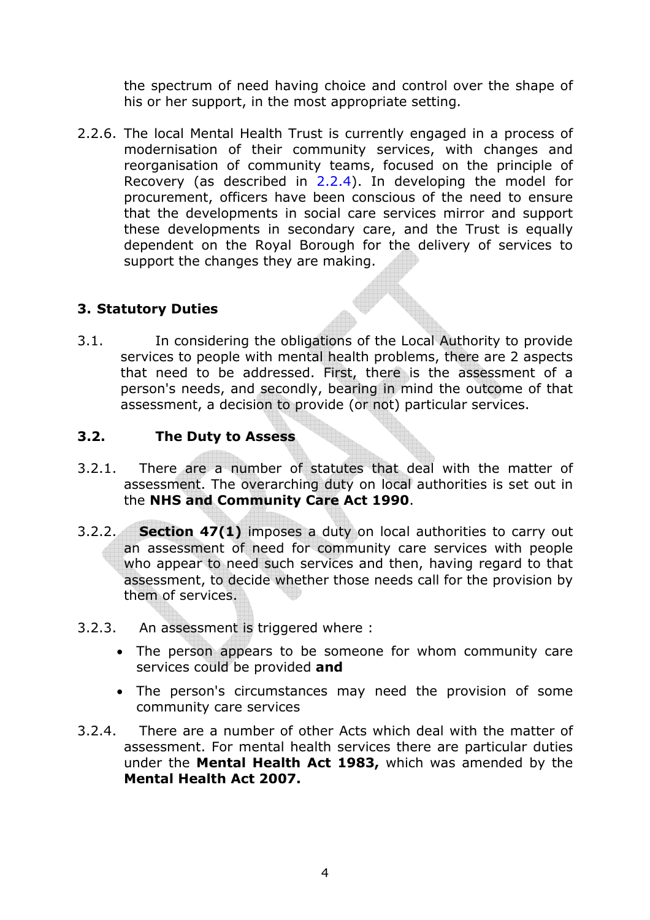the spectrum of need having choice and control over the shape of his or her support, in the most appropriate setting.

2.2.6. The local Mental Health Trust is currently engaged in a process of modernisation of their community services, with changes and reorganisation of community teams, focused on the principle of Recovery (as described in 2.2.4). In developing the model for procurement, officers have been conscious of the need to ensure that the developments in social care services mirror and support these developments in secondary care, and the Trust is equally dependent on the Royal Borough for the delivery of services to support the changes they are making.

## **3. Statutory Duties**

3.1. In considering the obligations of the Local Authority to provide services to people with mental health problems, there are 2 aspects that need to be addressed. First, there is the assessment of a person's needs, and secondly, bearing in mind the outcome of that assessment, a decision to provide (or not) particular services.

## **3.2. The Duty to Assess**

- 3.2.1. There are a number of statutes that deal with the matter of assessment. The overarching duty on local authorities is set out in the **NHS and Community Care Act 1990**.
- 3.2.2. **Section 47(1)** imposes a duty on local authorities to carry out an assessment of need for community care services with people who appear to need such services and then, having regard to that assessment, to decide whether those needs call for the provision by them of services.
- 3.2.3. An assessment is triggered where :
	- The person appears to be someone for whom community care services could be provided **and**
	- The person's circumstances may need the provision of some community care services
- 3.2.4. There are a number of other Acts which deal with the matter of assessment. For mental health services there are particular duties under the **Mental Health Act 1983,** which was amended by the **Mental Health Act 2007.**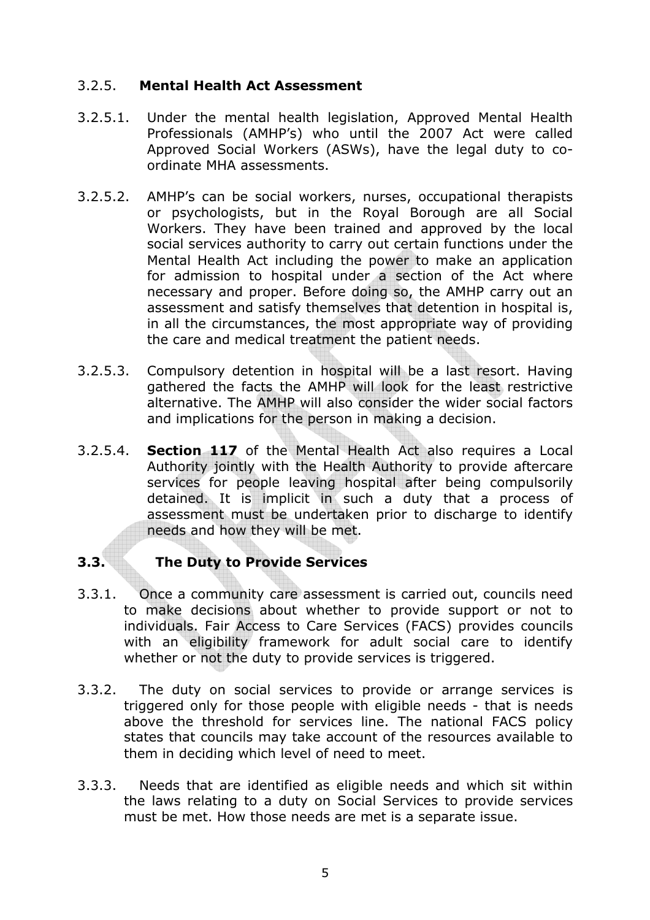### 3.2.5. **Mental Health Act Assessment**

- 3.2.5.1. Under the mental health legislation, Approved Mental Health Professionals (AMHP's) who until the 2007 Act were called Approved Social Workers (ASWs), have the legal duty to coordinate MHA assessments.
- 3.2.5.2. AMHP's can be social workers, nurses, occupational therapists or psychologists, but in the Royal Borough are all Social Workers. They have been trained and approved by the local social services authority to carry out certain functions under the Mental Health Act including the power to make an application for admission to hospital under a section of the Act where necessary and proper. Before doing so, the AMHP carry out an assessment and satisfy themselves that detention in hospital is, in all the circumstances, the most appropriate way of providing the care and medical treatment the patient needs.
- 3.2.5.3. Compulsory detention in hospital will be a last resort. Having gathered the facts the AMHP will look for the least restrictive alternative. The AMHP will also consider the wider social factors and implications for the person in making a decision.
- 3.2.5.4. **Section 117** of the Mental Health Act also requires a Local Authority jointly with the Health Authority to provide aftercare services for people leaving hospital after being compulsorily detained. It is implicit in such a duty that a process of assessment must be undertaken prior to discharge to identify needs and how they will be met.

## **3.3. The Duty to Provide Services**

- 3.3.1. Once a community care assessment is carried out, councils need to make decisions about whether to provide support or not to individuals. Fair Access to Care Services (FACS) provides councils with an eligibility framework for adult social care to identify whether or not the duty to provide services is triggered.
- 3.3.2. The duty on social services to provide or arrange services is triggered only for those people with eligible needs - that is needs above the threshold for services line. The national FACS policy states that councils may take account of the resources available to them in deciding which level of need to meet.
- 3.3.3. Needs that are identified as eligible needs and which sit within the laws relating to a duty on Social Services to provide services must be met. How those needs are met is a separate issue.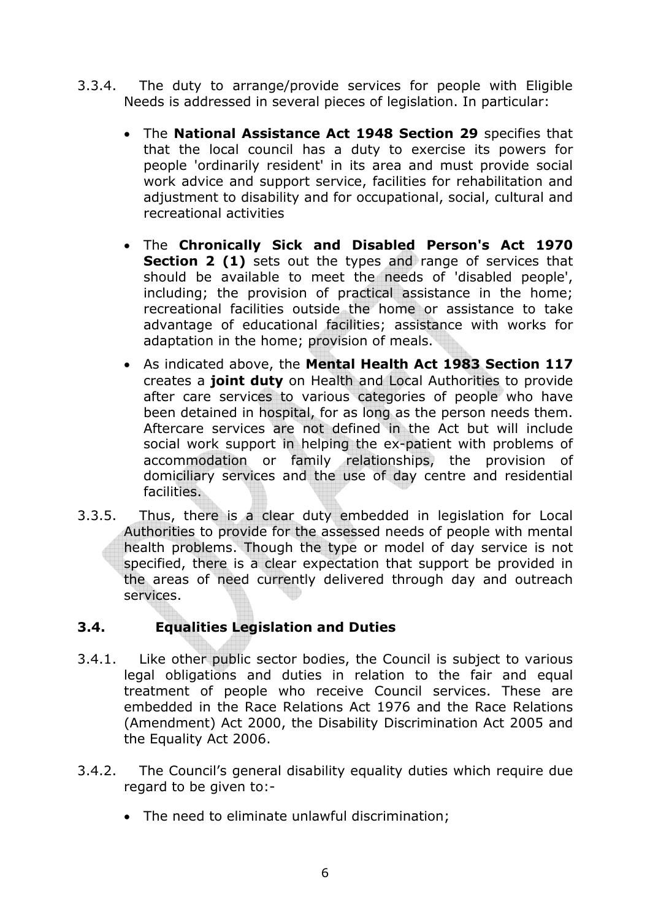- 3.3.4. The duty to arrange/provide services for people with Eligible Needs is addressed in several pieces of legislation. In particular:
	- The **National Assistance Act 1948 Section 29** specifies that that the local council has a duty to exercise its powers for people 'ordinarily resident' in its area and must provide social work advice and support service, facilities for rehabilitation and adjustment to disability and for occupational, social, cultural and recreational activities
	- The **Chronically Sick and Disabled Person's Act 1970 Section 2 (1)** sets out the types and range of services that should be available to meet the needs of 'disabled people', including; the provision of practical assistance in the home; recreational facilities outside the home or assistance to take advantage of educational facilities; assistance with works for adaptation in the home; provision of meals.
	- As indicated above, the **Mental Health Act 1983 Section 117**  creates a **joint duty** on Health and Local Authorities to provide after care services to various categories of people who have been detained in hospital, for as long as the person needs them. Aftercare services are not defined in the Act but will include social work support in helping the ex-patient with problems of accommodation or family relationships, the provision of domiciliary services and the use of day centre and residential facilities.
- 3.3.5. Thus, there is a clear duty embedded in legislation for Local Authorities to provide for the assessed needs of people with mental health problems. Though the type or model of day service is not specified, there is a clear expectation that support be provided in the areas of need currently delivered through day and outreach services.

## **3.4. Equalities Legislation and Duties**

- 3.4.1. Like other public sector bodies, the Council is subject to various legal obligations and duties in relation to the fair and equal treatment of people who receive Council services. These are embedded in the Race Relations Act 1976 and the Race Relations (Amendment) Act 2000, the Disability Discrimination Act 2005 and the Equality Act 2006.
- 3.4.2. The Council's general disability equality duties which require due regard to be given to:-
	- The need to eliminate unlawful discrimination;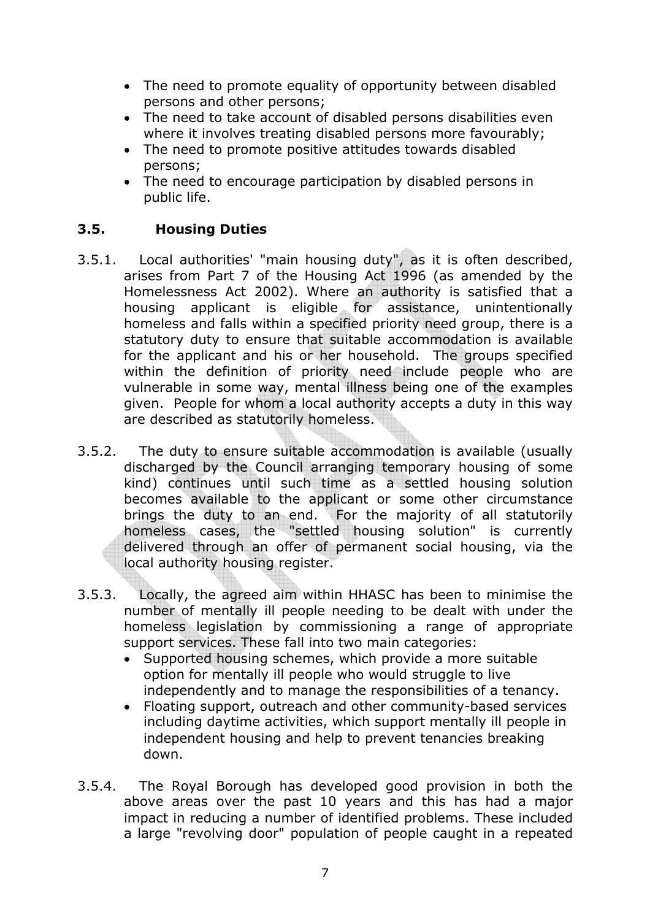- The need to promote equality of opportunity between disabled persons and other persons;
- The need to take account of disabled persons disabilities even where it involves treating disabled persons more favourably;
- The need to promote positive attitudes towards disabled persons;
- The need to encourage participation by disabled persons in public life.

## **3.5. Housing Duties**

- 3.5.1. Local authorities' "main housing duty", as it is often described, arises from Part 7 of the Housing Act 1996 (as amended by the Homelessness Act 2002). Where an authority is satisfied that a housing applicant is eligible for assistance, unintentionally homeless and falls within a specified priority need group, there is a statutory duty to ensure that suitable accommodation is available for the applicant and his or her household. The groups specified within the definition of priority need include people who are vulnerable in some way, mental illness being one of the examples given. People for whom a local authority accepts a duty in this way are described as statutorily homeless.
- 3.5.2. The duty to ensure suitable accommodation is available (usually discharged by the Council arranging temporary housing of some kind) continues until such time as a settled housing solution becomes available to the applicant or some other circumstance brings the duty to an end. For the majority of all statutorily homeless cases, the "settled housing solution" is currently delivered through an offer of permanent social housing, via the local authority housing register.
- 3.5.3. Locally, the agreed aim within HHASC has been to minimise the number of mentally ill people needing to be dealt with under the homeless legislation by commissioning a range of appropriate support services. These fall into two main categories:
	- Supported housing schemes, which provide a more suitable option for mentally ill people who would struggle to live independently and to manage the responsibilities of a tenancy.
	- Floating support, outreach and other community-based services including daytime activities, which support mentally ill people in independent housing and help to prevent tenancies breaking down.
- 3.5.4. The Royal Borough has developed good provision in both the above areas over the past 10 years and this has had a major impact in reducing a number of identified problems. These included a large "revolving door" population of people caught in a repeated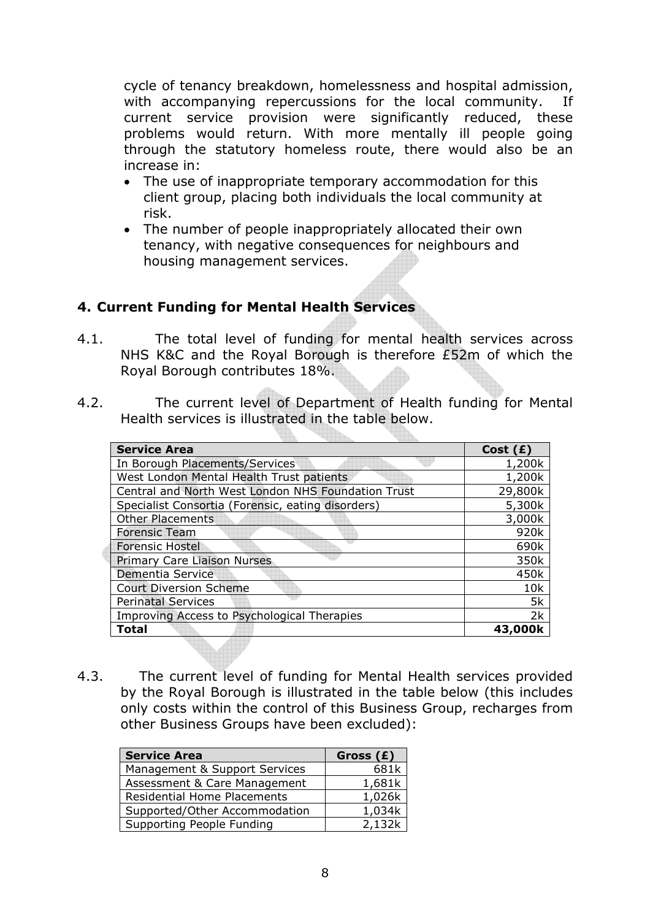cycle of tenancy breakdown, homelessness and hospital admission, with accompanying repercussions for the local community. If current service provision were significantly reduced, these problems would return. With more mentally ill people going through the statutory homeless route, there would also be an increase in:

- The use of inappropriate temporary accommodation for this client group, placing both individuals the local community at risk.
- The number of people inappropriately allocated their own tenancy, with negative consequences for neighbours and housing management services.

### **4. Current Funding for Mental Health Services**

- 4.1. The total level of funding for mental health services across NHS K&C and the Royal Borough is therefore £52m of which the Royal Borough contributes 18%.
- 4.2. The current level of Department of Health funding for Mental Health services is illustrated in the table below.

| <b>Service Area</b>                                | Cost(E) |
|----------------------------------------------------|---------|
| In Borough Placements/Services                     | 1,200k  |
| West London Mental Health Trust patients           | 1,200k  |
| Central and North West London NHS Foundation Trust | 29,800k |
| Specialist Consortia (Forensic, eating disorders)  | 5,300k  |
| <b>Other Placements</b>                            | 3,000k  |
| <b>Forensic Team</b>                               | 920k    |
| <b>Forensic Hostel</b>                             | 690k    |
| <b>Primary Care Liaison Nurses</b>                 | 350k    |
| Dementia Service                                   | 450k    |
| <b>Court Diversion Scheme</b>                      | 10k     |
| <b>Perinatal Services</b>                          | 5k      |
| Improving Access to Psychological Therapies        | 2k      |
| Total                                              | 43,0    |
|                                                    |         |

4.3. The current level of funding for Mental Health services provided by the Royal Borough is illustrated in the table below (this includes only costs within the control of this Business Group, recharges from other Business Groups have been excluded):

| <b>Service Area</b>                | Gross (£) |
|------------------------------------|-----------|
| Management & Support Services      | 681k      |
| Assessment & Care Management       | 1,681k    |
| <b>Residential Home Placements</b> | 1,026k    |
| Supported/Other Accommodation      | 1,034k    |
| Supporting People Funding          | 2,132k    |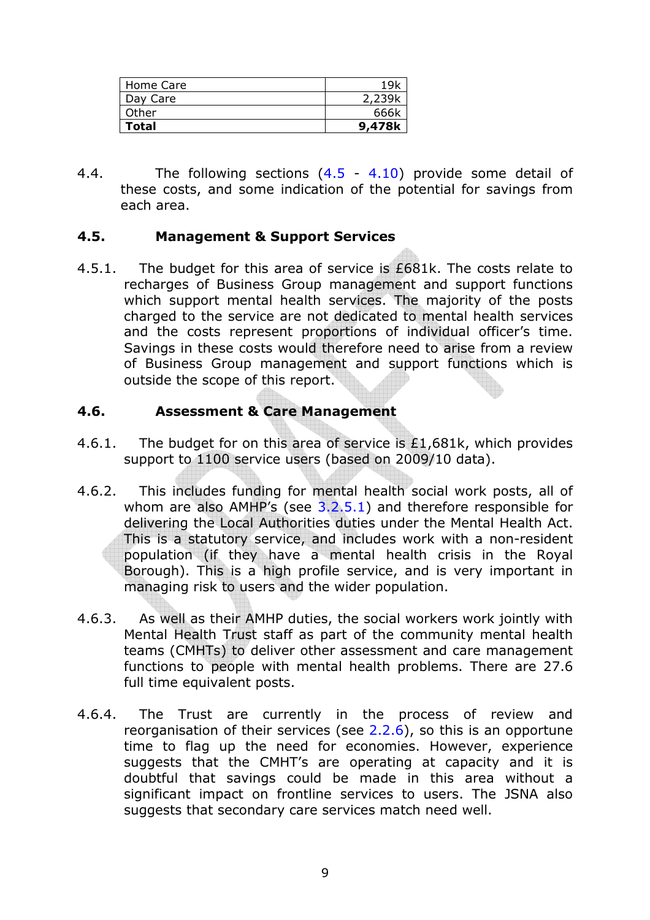| Home Care    | 1 Q L  |
|--------------|--------|
| Day Care     | 2,239k |
| Other        | 666k   |
| <b>Total</b> | 9,478k |

4.4. The following sections (4.5 - 4.10) provide some detail of these costs, and some indication of the potential for savings from each area.

### **4.5. Management & Support Services**

4.5.1. The budget for this area of service is £681k. The costs relate to recharges of Business Group management and support functions which support mental health services. The majority of the posts charged to the service are not dedicated to mental health services and the costs represent proportions of individual officer's time. Savings in these costs would therefore need to arise from a review of Business Group management and support functions which is outside the scope of this report.

## **4.6. Assessment & Care Management**

- 4.6.1. The budget for on this area of service is £1,681k, which provides support to 1100 service users (based on 2009/10 data).
- 4.6.2. This includes funding for mental health social work posts, all of whom are also  $AMHP's$  (see  $3.2.5.1$ ) and therefore responsible for delivering the Local Authorities duties under the Mental Health Act. This is a statutory service, and includes work with a non-resident population (if they have a mental health crisis in the Royal Borough). This is a high profile service, and is very important in managing risk to users and the wider population.
- 4.6.3. As well as their AMHP duties, the social workers work jointly with Mental Health Trust staff as part of the community mental health teams (CMHTs) to deliver other assessment and care management functions to people with mental health problems. There are 27.6 full time equivalent posts.
- 4.6.4. The Trust are currently in the process of review and reorganisation of their services (see 2.2.6), so this is an opportune time to flag up the need for economies. However, experience suggests that the CMHT's are operating at capacity and it is doubtful that savings could be made in this area without a significant impact on frontline services to users. The JSNA also suggests that secondary care services match need well.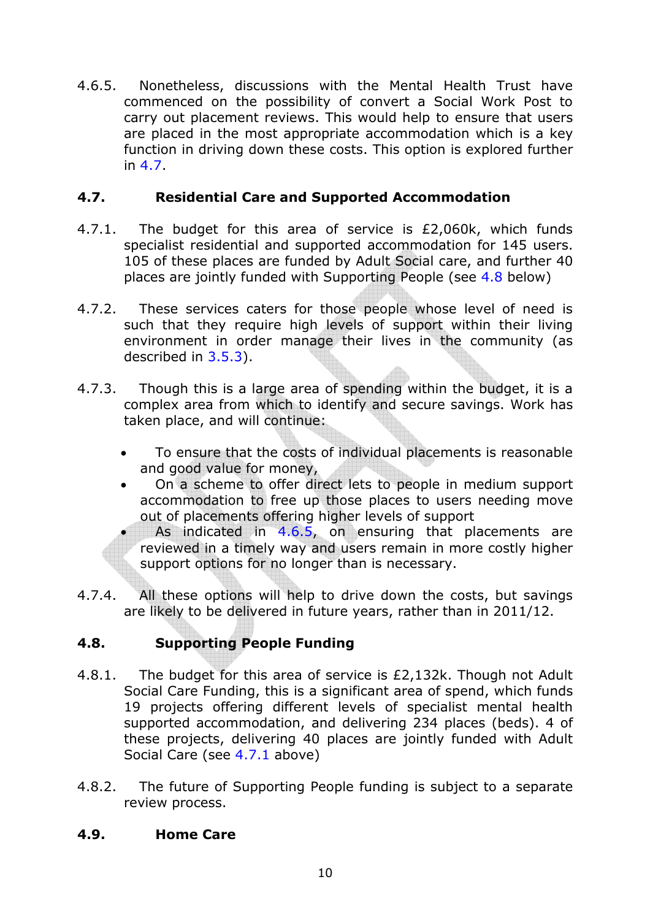4.6.5. Nonetheless, discussions with the Mental Health Trust have commenced on the possibility of convert a Social Work Post to carry out placement reviews. This would help to ensure that users are placed in the most appropriate accommodation which is a key function in driving down these costs. This option is explored further in 4.7.

## **4.7. Residential Care and Supported Accommodation**

- 4.7.1. The budget for this area of service is £2,060k, which funds specialist residential and supported accommodation for 145 users. 105 of these places are funded by Adult Social care, and further 40 places are jointly funded with Supporting People (see 4.8 below)
- 4.7.2. These services caters for those people whose level of need is such that they require high levels of support within their living environment in order manage their lives in the community (as described in 3.5.3).
- 4.7.3. Though this is a large area of spending within the budget, it is a complex area from which to identify and secure savings. Work has taken place, and will continue:
	- To ensure that the costs of individual placements is reasonable and good value for money,
	- On a scheme to offer direct lets to people in medium support accommodation to free up those places to users needing move out of placements offering higher levels of support
		- As indicated in 4.6.5, on ensuring that placements are reviewed in a timely way and users remain in more costly higher support options for no longer than is necessary.
- 4.7.4. All these options will help to drive down the costs, but savings are likely to be delivered in future years, rather than in 2011/12.

## **4.8. Supporting People Funding**

- 4.8.1. The budget for this area of service is £2,132k. Though not Adult Social Care Funding, this is a significant area of spend, which funds 19 projects offering different levels of specialist mental health supported accommodation, and delivering 234 places (beds). 4 of these projects, delivering 40 places are jointly funded with Adult Social Care (see 4.7.1 above)
- 4.8.2. The future of Supporting People funding is subject to a separate review process.

## **4.9. Home Care**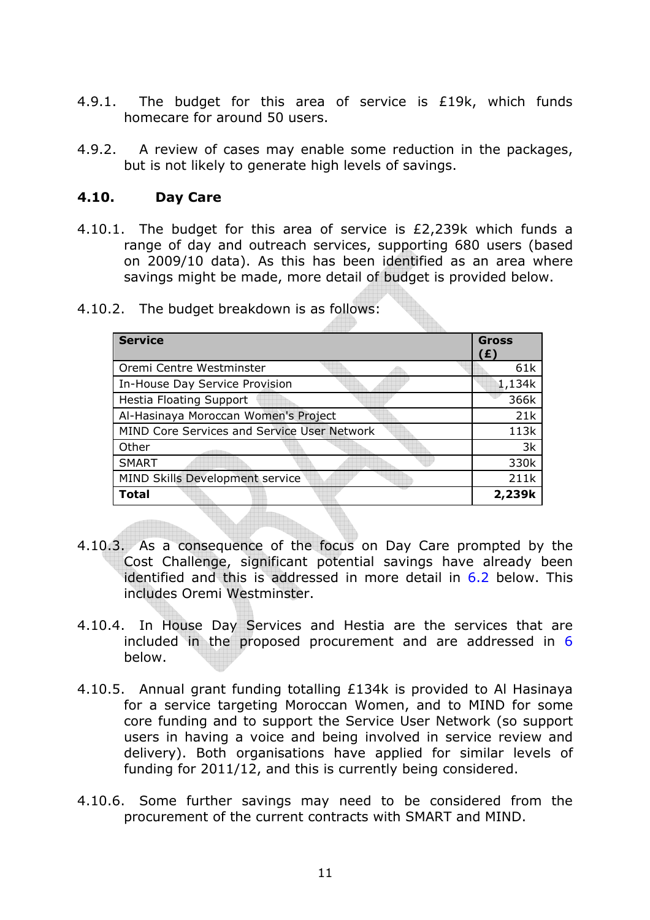- 4.9.1. The budget for this area of service is £19k, which funds homecare for around 50 users.
- 4.9.2. A review of cases may enable some reduction in the packages, but is not likely to generate high levels of savings.

#### **4.10. Day Care**

4.10.1. The budget for this area of service is £2,239k which funds a range of day and outreach services, supporting 680 users (based on 2009/10 data). As this has been identified as an area where savings might be made, more detail of budget is provided below.

| <b>Service</b>                              | <b>Gross</b> |
|---------------------------------------------|--------------|
|                                             | (£)          |
| Oremi Centre Westminster                    | 61k          |
| In-House Day Service Provision              | 1,134k       |
| <b>Hestia Floating Support</b>              | 366k         |
| Al-Hasinaya Moroccan Women's Project        | 21k          |
| MIND Core Services and Service User Network | 113k         |
| Other                                       | 3k           |
| <b>SMART</b>                                | 330k         |
| MIND Skills Development service             | 211k         |
| <b>Total</b>                                | 2,239k       |

4.10.2. The budget breakdown is as follows:

- 4.10.3. As a consequence of the focus on Day Care prompted by the Cost Challenge, significant potential savings have already been identified and this is addressed in more detail in 6.2 below. This includes Oremi Westminster.
- 4.10.4. In House Day Services and Hestia are the services that are included in the proposed procurement and are addressed in 6 below.
- 4.10.5. Annual grant funding totalling £134k is provided to Al Hasinaya for a service targeting Moroccan Women, and to MIND for some core funding and to support the Service User Network (so support users in having a voice and being involved in service review and delivery). Both organisations have applied for similar levels of funding for 2011/12, and this is currently being considered.
- 4.10.6. Some further savings may need to be considered from the procurement of the current contracts with SMART and MIND.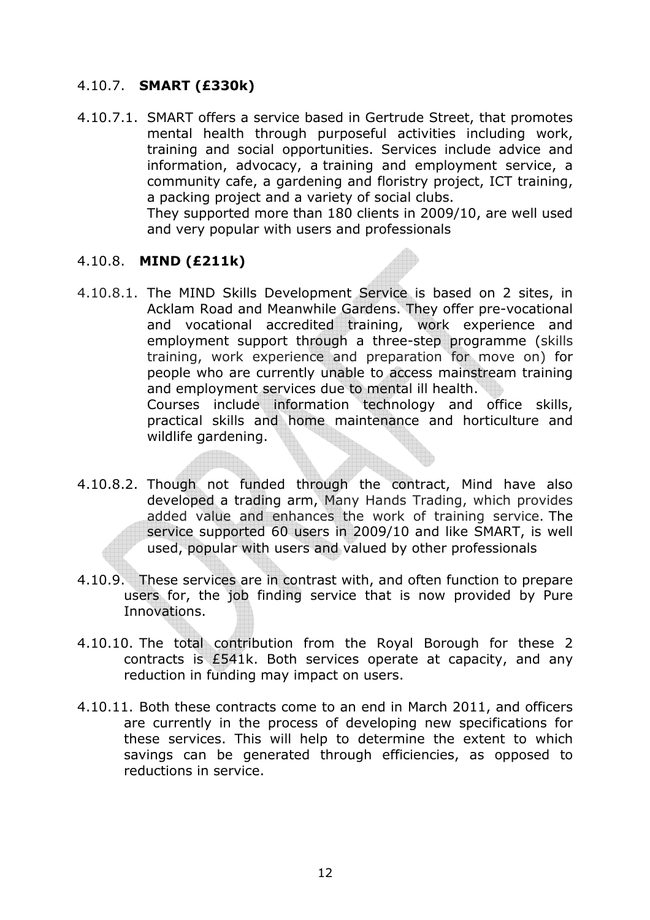### 4.10.7. **SMART (£330k)**

4.10.7.1. SMART offers a service based in Gertrude Street, that promotes mental health through purposeful activities including work, training and social opportunities. Services include advice and information, advocacy, a training and employment service, a community cafe, a gardening and floristry project, ICT training, a packing project and a variety of social clubs. They supported more than 180 clients in 2009/10, are well used

and very popular with users and professionals

### 4.10.8. **MIND (£211k)**

wildlife gardening.

- 4.10.8.1. The MIND Skills Development Service is based on 2 sites, in Acklam Road and Meanwhile Gardens. They offer pre-vocational and vocational accredited training, work experience and employment support through a three-step programme (skills training, work experience and preparation for move on) for people who are currently unable to access mainstream training and employment services due to mental ill health. Courses include information technology and office skills, practical skills and home maintenance and horticulture and
- 4.10.8.2. Though not funded through the contract, Mind have also developed a trading arm, Many Hands Trading, which provides added value and enhances the work of training service. The service supported 60 users in 2009/10 and like SMART, is well used, popular with users and valued by other professionals
- 4.10.9. These services are in contrast with, and often function to prepare users for, the job finding service that is now provided by Pure Innovations.
- 4.10.10. The total contribution from the Royal Borough for these 2 contracts is £541k. Both services operate at capacity, and any reduction in funding may impact on users.
- 4.10.11. Both these contracts come to an end in March 2011, and officers are currently in the process of developing new specifications for these services. This will help to determine the extent to which savings can be generated through efficiencies, as opposed to reductions in service.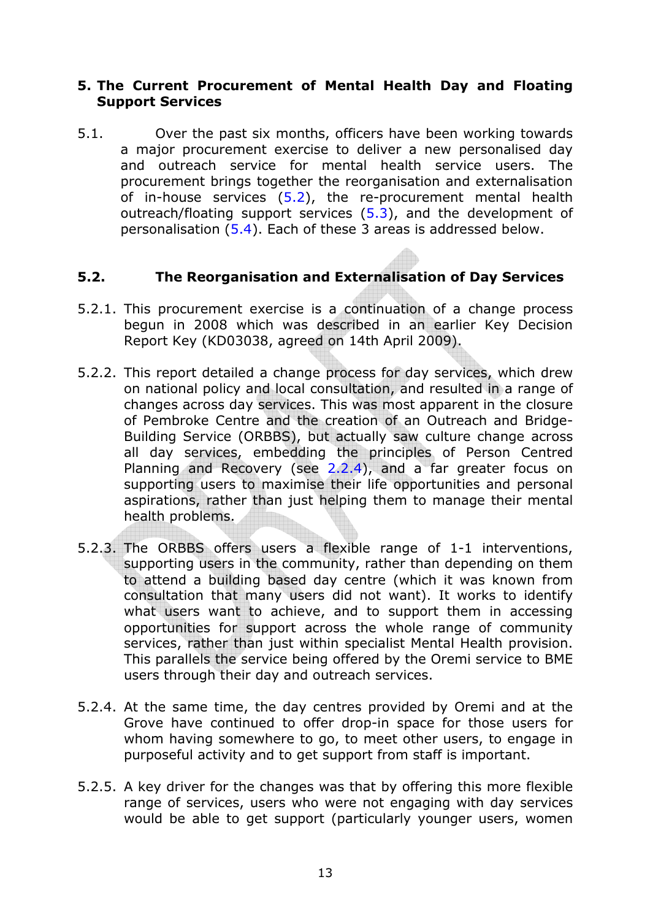#### **5. The Current Procurement of Mental Health Day and Floating Support Services**

5.1. Over the past six months, officers have been working towards a major procurement exercise to deliver a new personalised day and outreach service for mental health service users. The procurement brings together the reorganisation and externalisation of in-house services  $(5.2)$ , the re-procurement mental health outreach/floating support services (5.3), and the development of personalisation (5.4). Each of these 3 areas is addressed below.

#### **5.2. The Reorganisation and Externalisation of Day Services**

- 5.2.1. This procurement exercise is a continuation of a change process begun in 2008 which was described in an earlier Key Decision Report Key (KD03038, agreed on 14th April 2009).
- 5.2.2. This report detailed a change process for day services, which drew on national policy and local consultation, and resulted in a range of changes across day services. This was most apparent in the closure of Pembroke Centre and the creation of an Outreach and Bridge-Building Service (ORBBS), but actually saw culture change across all day services, embedding the principles of Person Centred Planning and Recovery (see 2.2.4), and a far greater focus on supporting users to maximise their life opportunities and personal aspirations, rather than just helping them to manage their mental health problems.
- 5.2.3. The ORBBS offers users a flexible range of 1-1 interventions, supporting users in the community, rather than depending on them to attend a building based day centre (which it was known from consultation that many users did not want). It works to identify what users want to achieve, and to support them in accessing opportunities for support across the whole range of community services, rather than just within specialist Mental Health provision. This parallels the service being offered by the Oremi service to BME users through their day and outreach services.
- 5.2.4. At the same time, the day centres provided by Oremi and at the Grove have continued to offer drop-in space for those users for whom having somewhere to go, to meet other users, to engage in purposeful activity and to get support from staff is important.
- 5.2.5. A key driver for the changes was that by offering this more flexible range of services, users who were not engaging with day services would be able to get support (particularly younger users, women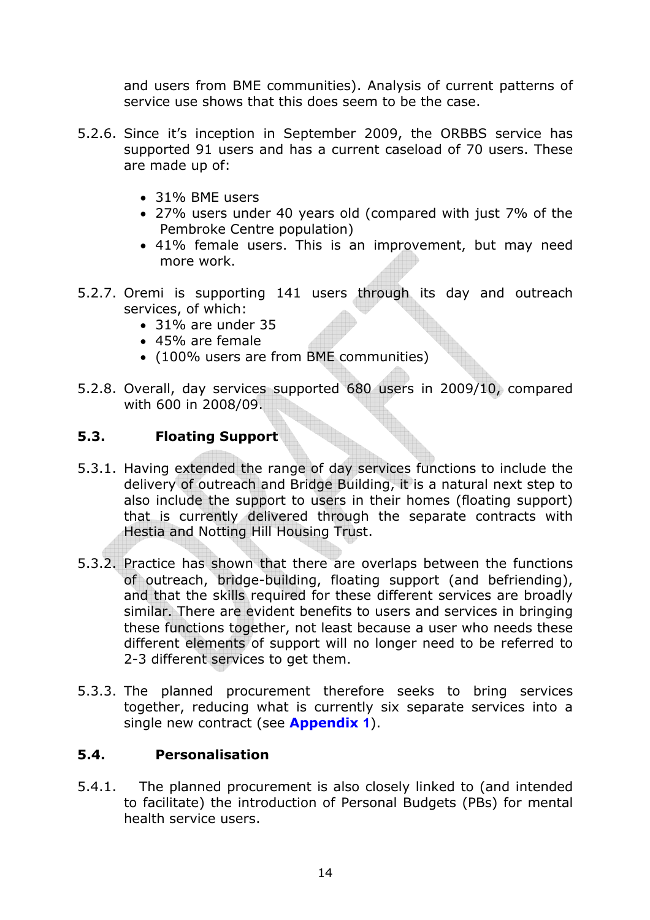and users from BME communities). Analysis of current patterns of service use shows that this does seem to be the case.

- 5.2.6. Since it's inception in September 2009, the ORBBS service has supported 91 users and has a current caseload of 70 users. These are made up of:
	- 31% BME users
	- 27% users under 40 years old (compared with just 7% of the Pembroke Centre population)
	- 41% female users. This is an improvement, but may need more work.
- 5.2.7. Oremi is supporting 141 users through its day and outreach services, of which:
	- 31% are under 35
	- 45% are female
	- (100% users are from BME communities)
- 5.2.8. Overall, day services supported 680 users in 2009/10, compared with 600 in 2008/09.

## **5.3. Floating Support**

- 5.3.1. Having extended the range of day services functions to include the delivery of outreach and Bridge Building, it is a natural next step to also include the support to users in their homes (floating support) that is currently delivered through the separate contracts with Hestia and Notting Hill Housing Trust.
- 5.3.2. Practice has shown that there are overlaps between the functions of outreach, bridge-building, floating support (and befriending), and that the skills required for these different services are broadly similar. There are evident benefits to users and services in bringing these functions together, not least because a user who needs these different elements of support will no longer need to be referred to 2-3 different services to get them.
- 5.3.3. The planned procurement therefore seeks to bring services together, reducing what is currently six separate services into a single new contract (see **Appendix 1**).

## **5.4. Personalisation**

5.4.1. The planned procurement is also closely linked to (and intended to facilitate) the introduction of Personal Budgets (PBs) for mental health service users.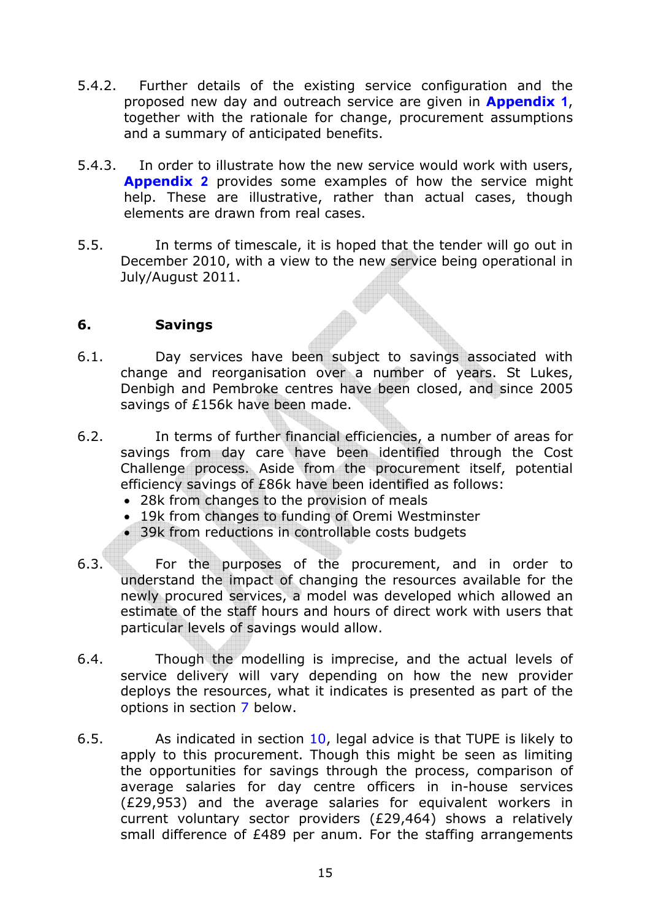- 5.4.2. Further details of the existing service configuration and the proposed new day and outreach service are given in **Appendix 1**, together with the rationale for change, procurement assumptions and a summary of anticipated benefits.
- 5.4.3. In order to illustrate how the new service would work with users, **Appendix 2** provides some examples of how the service might help. These are illustrative, rather than actual cases, though elements are drawn from real cases.
- 5.5. In terms of timescale, it is hoped that the tender will go out in December 2010, with a view to the new service being operational in July/August 2011.

### **6. Savings**

- 6.1. Day services have been subject to savings associated with change and reorganisation over a number of years. St Lukes, Denbigh and Pembroke centres have been closed, and since 2005 savings of £156k have been made.
- 6.2. In terms of further financial efficiencies, a number of areas for savings from day care have been identified through the Cost Challenge process. Aside from the procurement itself, potential efficiency savings of £86k have been identified as follows:
	- 28k from changes to the provision of meals
	- 19k from changes to funding of Oremi Westminster
	- 39k from reductions in controllable costs budgets
- 6.3. For the purposes of the procurement, and in order to understand the impact of changing the resources available for the newly procured services, a model was developed which allowed an estimate of the staff hours and hours of direct work with users that particular levels of savings would allow.
- 6.4. Though the modelling is imprecise, and the actual levels of service delivery will vary depending on how the new provider deploys the resources, what it indicates is presented as part of the options in section 7 below.
- 6.5. As indicated in section 10, legal advice is that TUPE is likely to apply to this procurement. Though this might be seen as limiting the opportunities for savings through the process, comparison of average salaries for day centre officers in in-house services (£29,953) and the average salaries for equivalent workers in current voluntary sector providers (£29,464) shows a relatively small difference of £489 per anum. For the staffing arrangements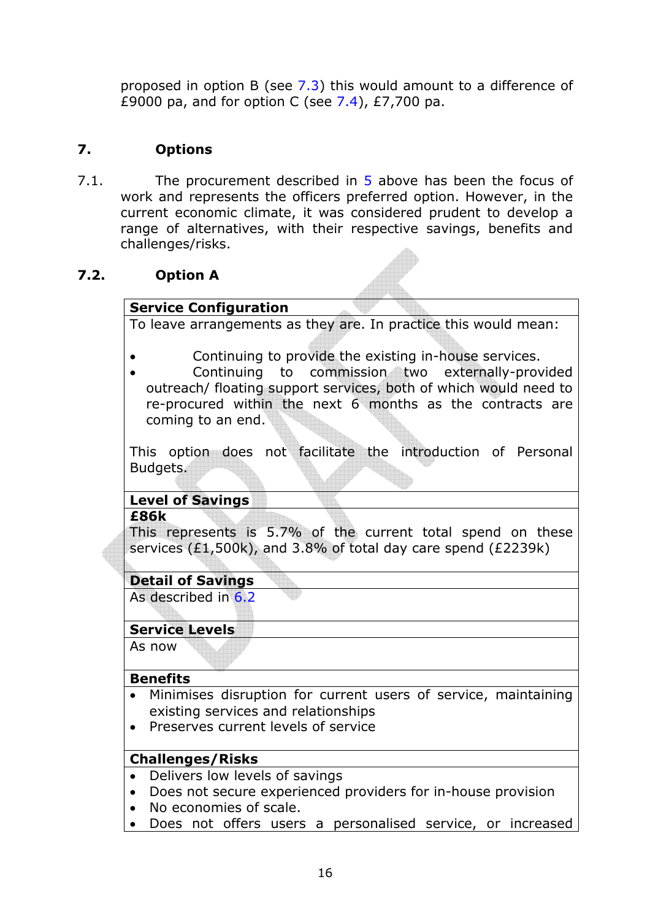proposed in option B (see 7.3) this would amount to a difference of £9000 pa, and for option C (see  $7.4$ ), £7,700 pa.

## **7. Options**

7.1. The procurement described in 5 above has been the focus of work and represents the officers preferred option. However, in the current economic climate, it was considered prudent to develop a range of alternatives, with their respective savings, benefits and challenges/risks.

## **7.2. Option A**

## **Service Configuration**

To leave arrangements as they are. In practice this would mean:

- Continuing to provide the existing in-house services.
- Continuing to commission two externally-provided outreach/ floating support services, both of which would need to re-procured within the next 6 months as the contracts are coming to an end.

This option does not facilitate the introduction of Personal Budgets.

# **Level of Savings**

#### **£86k**

This represents is 5.7% of the current total spend on these services (£1,500k), and 3.8% of total day care spend (£2239k)

## **Detail of Savings**

As described in 6.2

## **Service Levels**

As now

#### **Benefits**

- Minimises disruption for current users of service, maintaining existing services and relationships
- Preserves current levels of service

## **Challenges/Risks**

- Delivers low levels of savings
- Does not secure experienced providers for in-house provision
- No economies of scale.
- Does not offers users a personalised service, or increased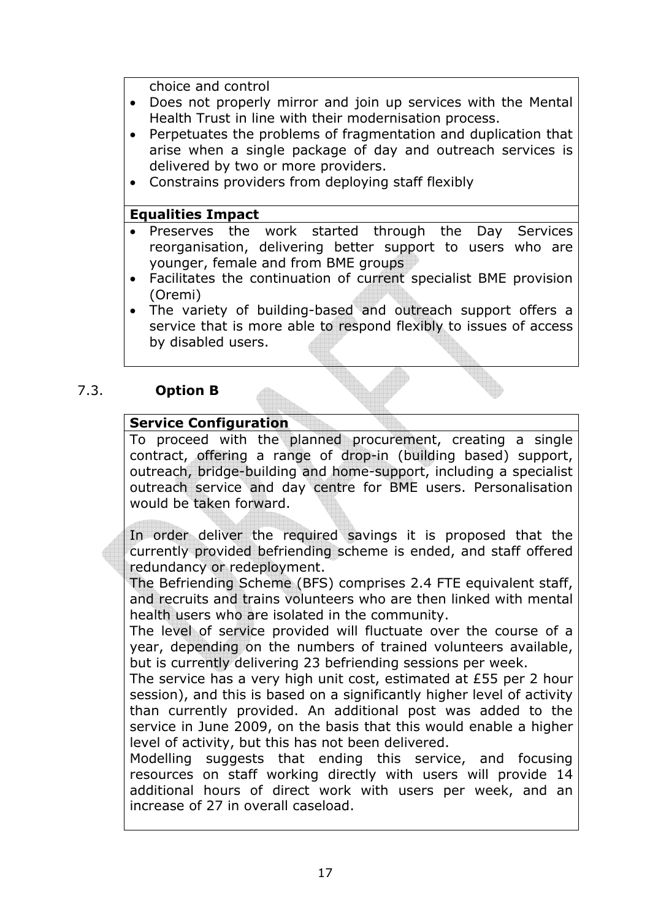choice and control

- Does not properly mirror and join up services with the Mental Health Trust in line with their modernisation process.
- Perpetuates the problems of fragmentation and duplication that arise when a single package of day and outreach services is delivered by two or more providers.
- Constrains providers from deploying staff flexibly

### **Equalities Impact**

- Preserves the work started through the Day Services reorganisation, delivering better support to users who are younger, female and from BME groups
- Facilitates the continuation of current specialist BME provision (Oremi)
- The variety of building-based and outreach support offers a service that is more able to respond flexibly to issues of access by disabled users.

#### 7.3. **Option B**

### **Service Configuration**

To proceed with the planned procurement, creating a single contract, offering a range of drop-in (building based) support, outreach, bridge-building and home-support, including a specialist outreach service and day centre for BME users. Personalisation would be taken forward.

In order deliver the required savings it is proposed that the currently provided befriending scheme is ended, and staff offered redundancy or redeployment.

The Befriending Scheme (BFS) comprises 2.4 FTE equivalent staff, and recruits and trains volunteers who are then linked with mental health users who are isolated in the community.

The level of service provided will fluctuate over the course of a year, depending on the numbers of trained volunteers available, but is currently delivering 23 befriending sessions per week.

The service has a very high unit cost, estimated at £55 per 2 hour session), and this is based on a significantly higher level of activity than currently provided. An additional post was added to the service in June 2009, on the basis that this would enable a higher level of activity, but this has not been delivered.

Modelling suggests that ending this service, and focusing resources on staff working directly with users will provide 14 additional hours of direct work with users per week, and an increase of 27 in overall caseload.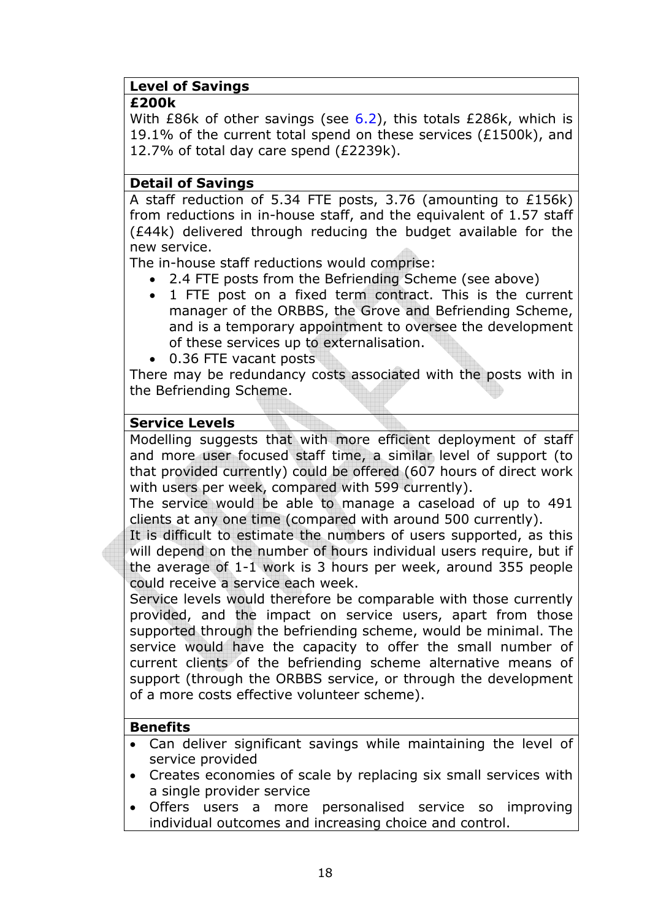## **Level of Savings**

#### **£200k**

With  $E86k$  of other savings (see  $6.2$ ), this totals  $E286k$ , which is 19.1% of the current total spend on these services ( $£1500k$ ), and 12.7% of total day care spend (£2239k).

### **Detail of Savings**

A staff reduction of 5.34 FTE posts, 3.76 (amounting to £156k) from reductions in in-house staff, and the equivalent of 1.57 staff (£44k) delivered through reducing the budget available for the new service.

The in-house staff reductions would comprise:

- 2.4 FTE posts from the Befriending Scheme (see above)
- 1 FTE post on a fixed term contract. This is the current manager of the ORBBS, the Grove and Befriending Scheme, and is a temporary appointment to oversee the development of these services up to externalisation.
- 0.36 FTE vacant posts

There may be redundancy costs associated with the posts with in the Befriending Scheme.

#### **Service Levels**

Modelling suggests that with more efficient deployment of staff and more user focused staff time, a similar level of support (to that provided currently) could be offered (607 hours of direct work with users per week, compared with 599 currently).

The service would be able to manage a caseload of up to 491 clients at any one time (compared with around 500 currently).

It is difficult to estimate the numbers of users supported, as this will depend on the number of hours individual users require, but if the average of 1-1 work is 3 hours per week, around 355 people could receive a service each week.

Service levels would therefore be comparable with those currently provided, and the impact on service users, apart from those supported through the befriending scheme, would be minimal. The service would have the capacity to offer the small number of current clients of the befriending scheme alternative means of support (through the ORBBS service, or through the development of a more costs effective volunteer scheme).

#### **Benefits**

- Can deliver significant savings while maintaining the level of service provided
- Creates economies of scale by replacing six small services with a single provider service
- Offers users a more personalised service so improving individual outcomes and increasing choice and control.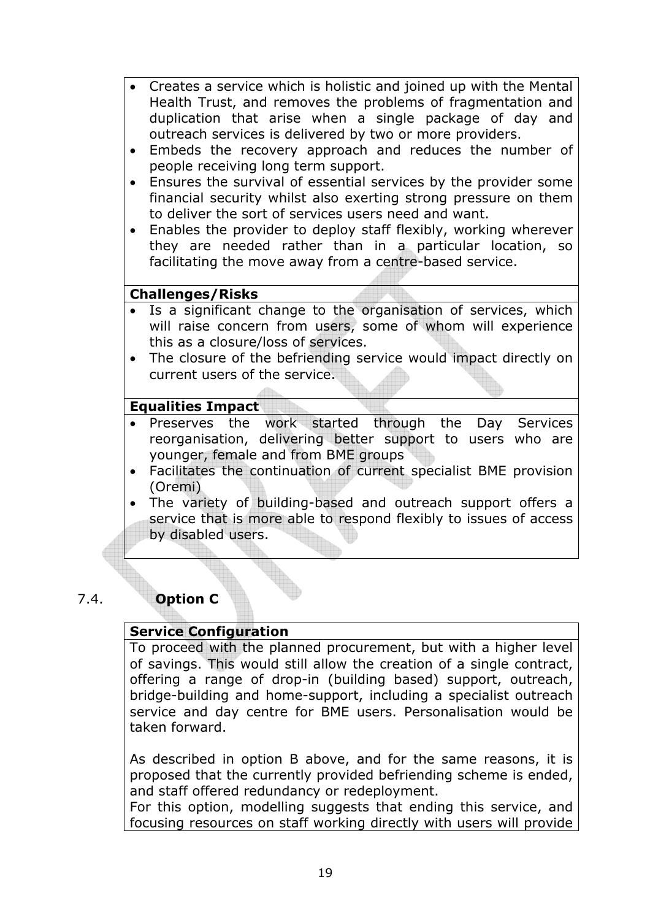- Creates a service which is holistic and joined up with the Mental Health Trust, and removes the problems of fragmentation and duplication that arise when a single package of day and outreach services is delivered by two or more providers.
- Embeds the recovery approach and reduces the number of people receiving long term support.
- Ensures the survival of essential services by the provider some financial security whilst also exerting strong pressure on them to deliver the sort of services users need and want.
- Enables the provider to deploy staff flexibly, working wherever they are needed rather than in a particular location, so facilitating the move away from a centre-based service.

## **Challenges/Risks**

- Is a significant change to the organisation of services, which will raise concern from users, some of whom will experience this as a closure/loss of services.
- The closure of the befriending service would impact directly on current users of the service.

## **Equalities Impact**

- Preserves the work started through the Day Services reorganisation, delivering better support to users who are younger, female and from BME groups
- Facilitates the continuation of current specialist BME provision (Oremi)
- The variety of building-based and outreach support offers a service that is more able to respond flexibly to issues of access by disabled users.

## 7.4. **Option C**

## **Service Configuration**

To proceed with the planned procurement, but with a higher level of savings. This would still allow the creation of a single contract, offering a range of drop-in (building based) support, outreach, bridge-building and home-support, including a specialist outreach service and day centre for BME users. Personalisation would be taken forward.

As described in option B above, and for the same reasons, it is proposed that the currently provided befriending scheme is ended, and staff offered redundancy or redeployment.

For this option, modelling suggests that ending this service, and focusing resources on staff working directly with users will provide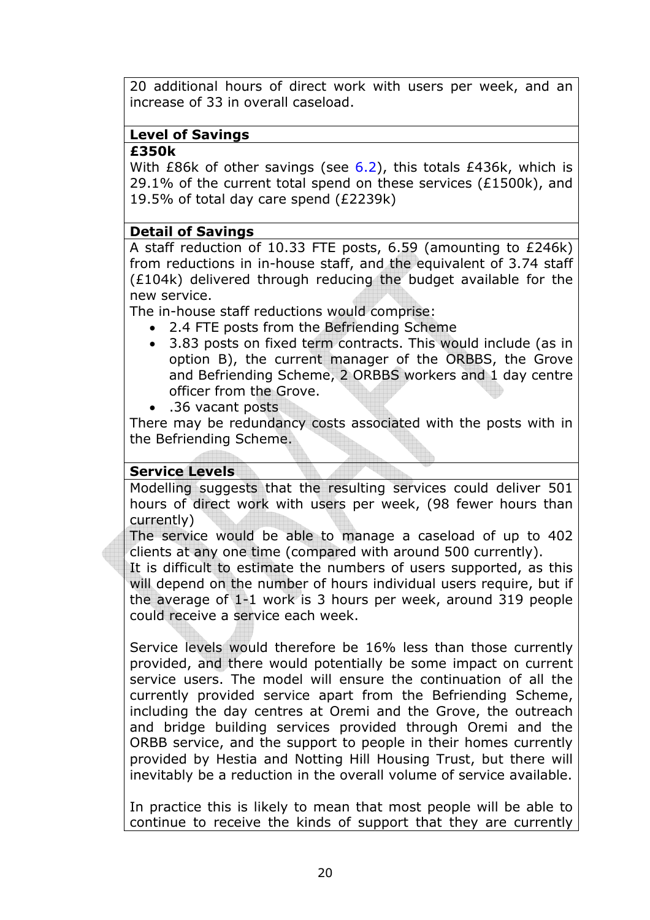20 additional hours of direct work with users per week, and an increase of 33 in overall caseload.

## **Level of Savings**

### **£350k**

With  $E86k$  of other savings (see  $6.2$ ), this totals  $E436k$ , which is 29.1% of the current total spend on these services ( $£1500k$ ), and 19.5% of total day care spend (£2239k)

### **Detail of Savings**

A staff reduction of 10.33 FTE posts, 6.59 (amounting to £246k) from reductions in in-house staff, and the equivalent of 3.74 staff (£104k) delivered through reducing the budget available for the new service.

The in-house staff reductions would comprise:

- 2.4 FTE posts from the Befriending Scheme
- 3.83 posts on fixed term contracts. This would include (as in option B), the current manager of the ORBBS, the Grove and Befriending Scheme, 2 ORBBS workers and 1 day centre officer from the Grove.
- .36 vacant posts

There may be redundancy costs associated with the posts with in the Befriending Scheme.

## **Service Levels**

Modelling suggests that the resulting services could deliver 501 hours of direct work with users per week, (98 fewer hours than currently)

The service would be able to manage a caseload of up to 402 clients at any one time (compared with around 500 currently).

It is difficult to estimate the numbers of users supported, as this will depend on the number of hours individual users require, but if the average of 1-1 work is 3 hours per week, around 319 people could receive a service each week.

Service levels would therefore be 16% less than those currently provided, and there would potentially be some impact on current service users. The model will ensure the continuation of all the currently provided service apart from the Befriending Scheme, including the day centres at Oremi and the Grove, the outreach and bridge building services provided through Oremi and the ORBB service, and the support to people in their homes currently provided by Hestia and Notting Hill Housing Trust, but there will inevitably be a reduction in the overall volume of service available.

In practice this is likely to mean that most people will be able to continue to receive the kinds of support that they are currently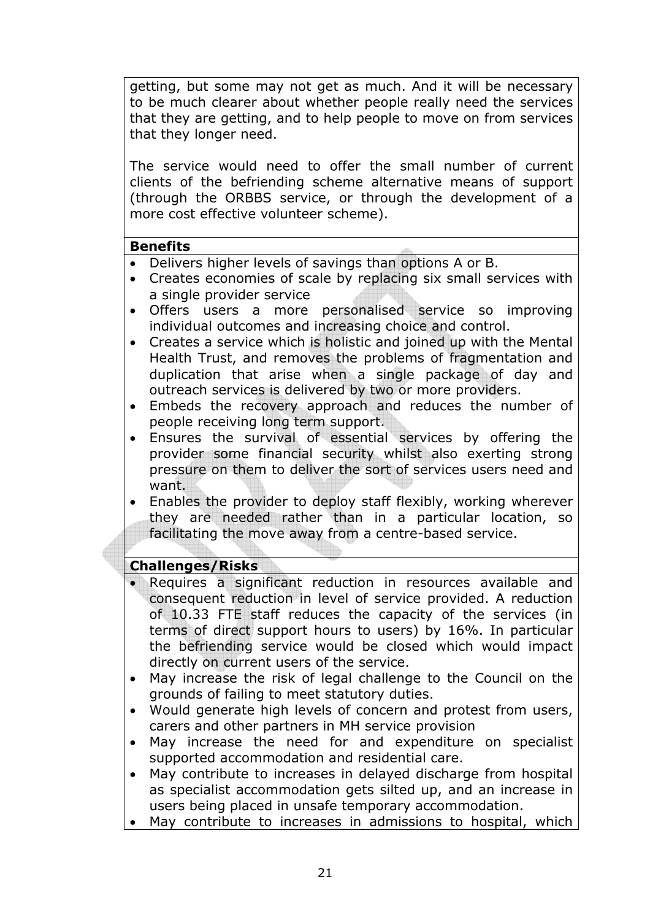getting, but some may not get as much. And it will be necessary to be much clearer about whether people really need the services that they are getting, and to help people to move on from services that they longer need.

The service would need to offer the small number of current clients of the befriending scheme alternative means of support (through the ORBBS service, or through the development of a more cost effective volunteer scheme).

#### **Benefits**

- Delivers higher levels of savings than options A or B.
- Creates economies of scale by replacing six small services with a single provider service
- Offers users a more personalised service so improving individual outcomes and increasing choice and control.
- Creates a service which is holistic and joined up with the Mental Health Trust, and removes the problems of fragmentation and duplication that arise when a single package of day and outreach services is delivered by two or more providers.
- Embeds the recovery approach and reduces the number of people receiving long term support.
- Ensures the survival of essential services by offering the provider some financial security whilst also exerting strong pressure on them to deliver the sort of services users need and want.
- Enables the provider to deploy staff flexibly, working wherever they are needed rather than in a particular location, so facilitating the move away from a centre-based service.

## **Challenges/Risks**

- Requires a significant reduction in resources available and consequent reduction in level of service provided. A reduction of 10.33 FTE staff reduces the capacity of the services (in terms of direct support hours to users) by 16%. In particular the befriending service would be closed which would impact directly on current users of the service.
- May increase the risk of legal challenge to the Council on the grounds of failing to meet statutory duties.
- Would generate high levels of concern and protest from users, carers and other partners in MH service provision
- May increase the need for and expenditure on specialist supported accommodation and residential care.
- May contribute to increases in delayed discharge from hospital as specialist accommodation gets silted up, and an increase in users being placed in unsafe temporary accommodation.
- May contribute to increases in admissions to hospital, which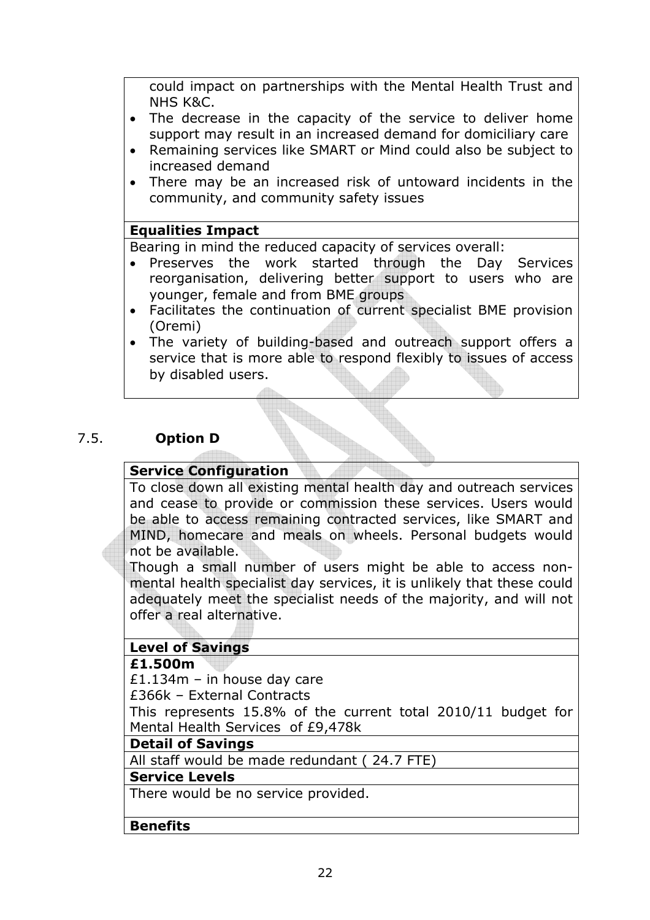could impact on partnerships with the Mental Health Trust and NHS K&C.

- The decrease in the capacity of the service to deliver home support may result in an increased demand for domiciliary care
- Remaining services like SMART or Mind could also be subject to increased demand
- There may be an increased risk of untoward incidents in the community, and community safety issues

### **Equalities Impact**

Bearing in mind the reduced capacity of services overall:

- Preserves the work started through the Day Services reorganisation, delivering better support to users who are younger, female and from BME groups
- Facilitates the continuation of current specialist BME provision (Oremi)
- The variety of building-based and outreach support offers a service that is more able to respond flexibly to issues of access by disabled users.

## 7.5. **Option D**

#### **Service Configuration**

To close down all existing mental health day and outreach services and cease to provide or commission these services. Users would be able to access remaining contracted services, like SMART and MIND, homecare and meals on wheels. Personal budgets would not be available.

Though a small number of users might be able to access nonmental health specialist day services, it is unlikely that these could adequately meet the specialist needs of the majority, and will not offer a real alternative.

## **Level of Savings**

#### **£1.500m**

£1.134m – in house day care

£366k – External Contracts

This represents 15.8% of the current total 2010/11 budget for Mental Health Services of £9,478k

#### **Detail of Savings**

All staff would be made redundant ( 24.7 FTE)

#### **Service Levels**

There would be no service provided.

#### **Benefits**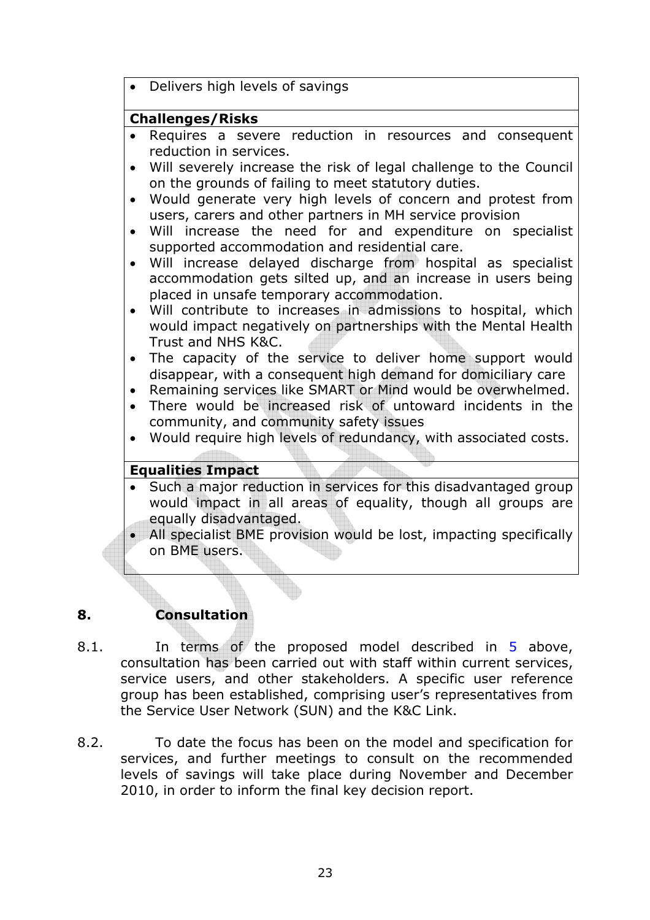|           | Delivers high levels of savings                                                                                          |
|-----------|--------------------------------------------------------------------------------------------------------------------------|
|           | <b>Challenges/Risks</b>                                                                                                  |
|           |                                                                                                                          |
|           | Requires a severe reduction in resources and consequent<br>reduction in services.                                        |
|           |                                                                                                                          |
| $\bullet$ | Will severely increase the risk of legal challenge to the Council<br>on the grounds of failing to meet statutory duties. |
| $\bullet$ | Would generate very high levels of concern and protest from                                                              |
|           | users, carers and other partners in MH service provision                                                                 |
| $\bullet$ | Will increase the need for and expenditure on specialist                                                                 |
|           | supported accommodation and residential care.                                                                            |
| $\bullet$ | Will increase delayed discharge from hospital as specialist                                                              |
|           | accommodation gets silted up, and an increase in users being<br>placed in unsafe temporary accommodation.                |
|           | Will contribute to increases in admissions to hospital, which                                                            |
|           | would impact negatively on partnerships with the Mental Health<br>Trust and NHS K&C.                                     |
| $\bullet$ | The capacity of the service to deliver home support would                                                                |
|           | disappear, with a consequent high demand for domiciliary care                                                            |
| $\bullet$ | Remaining services like SMART or Mind would be overwhelmed.                                                              |
|           | There would be increased risk of untoward incidents in the                                                               |
|           | community, and community safety issues                                                                                   |
|           | Would require high levels of redundancy, with associated costs.                                                          |
|           |                                                                                                                          |
|           | <b>Equalities Impact</b>                                                                                                 |
| $\bullet$ | Such a major reduction in services for this disadvantaged group                                                          |
|           | would impact in all areas of equality, though all groups are                                                             |
|           | equally disadvantaged.                                                                                                   |
| $\bullet$ | All specialist BME provision would be lost, impacting specifically<br>on BME users.                                      |
|           |                                                                                                                          |

## **8. Consultation**

- 8.1. In terms of the proposed model described in 5 above, consultation has been carried out with staff within current services, service users, and other stakeholders. A specific user reference group has been established, comprising user's representatives from the Service User Network (SUN) and the K&C Link.
- 8.2. To date the focus has been on the model and specification for services, and further meetings to consult on the recommended levels of savings will take place during November and December 2010, in order to inform the final key decision report.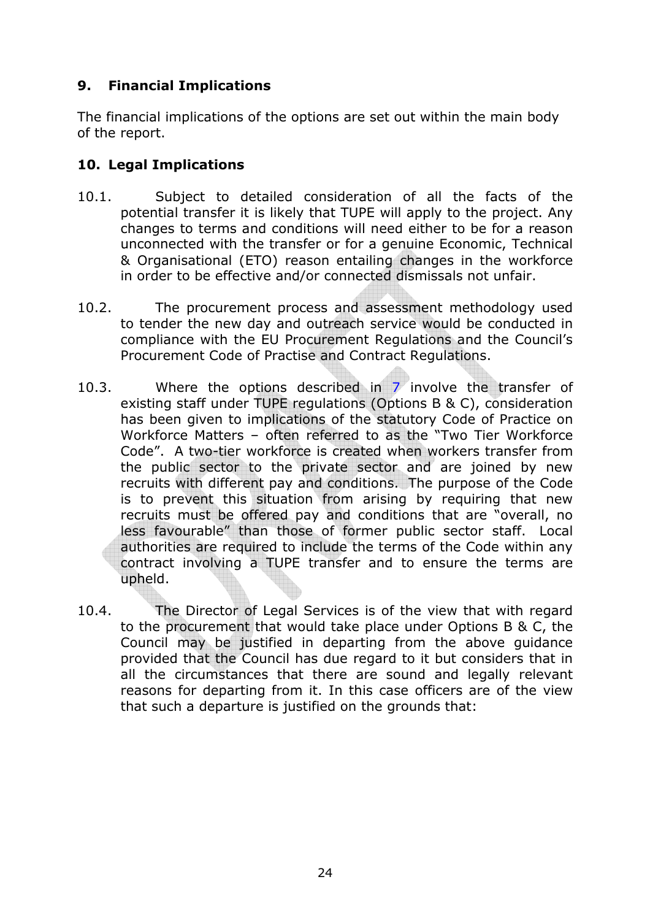## **9. Financial Implications**

The financial implications of the options are set out within the main body of the report.

## **10. Legal Implications**

- 10.1. Subject to detailed consideration of all the facts of the potential transfer it is likely that TUPE will apply to the project. Any changes to terms and conditions will need either to be for a reason unconnected with the transfer or for a genuine Economic, Technical & Organisational (ETO) reason entailing changes in the workforce in order to be effective and/or connected dismissals not unfair.
- 10.2. The procurement process and assessment methodology used to tender the new day and outreach service would be conducted in compliance with the EU Procurement Regulations and the Council's Procurement Code of Practise and Contract Regulations.
- 10.3. Where the options described in 7 involve the transfer of existing staff under TUPE regulations (Options B & C), consideration has been given to implications of the statutory Code of Practice on Workforce Matters – often referred to as the "Two Tier Workforce Code". A two-tier workforce is created when workers transfer from the public sector to the private sector and are joined by new recruits with different pay and conditions. The purpose of the Code is to prevent this situation from arising by requiring that new recruits must be offered pay and conditions that are "overall, no less favourable" than those of former public sector staff. Local authorities are required to include the terms of the Code within any contract involving a TUPE transfer and to ensure the terms are upheld.
- 10.4. The Director of Legal Services is of the view that with regard to the procurement that would take place under Options B & C, the Council may be justified in departing from the above guidance provided that the Council has due regard to it but considers that in all the circumstances that there are sound and legally relevant reasons for departing from it. In this case officers are of the view that such a departure is justified on the grounds that: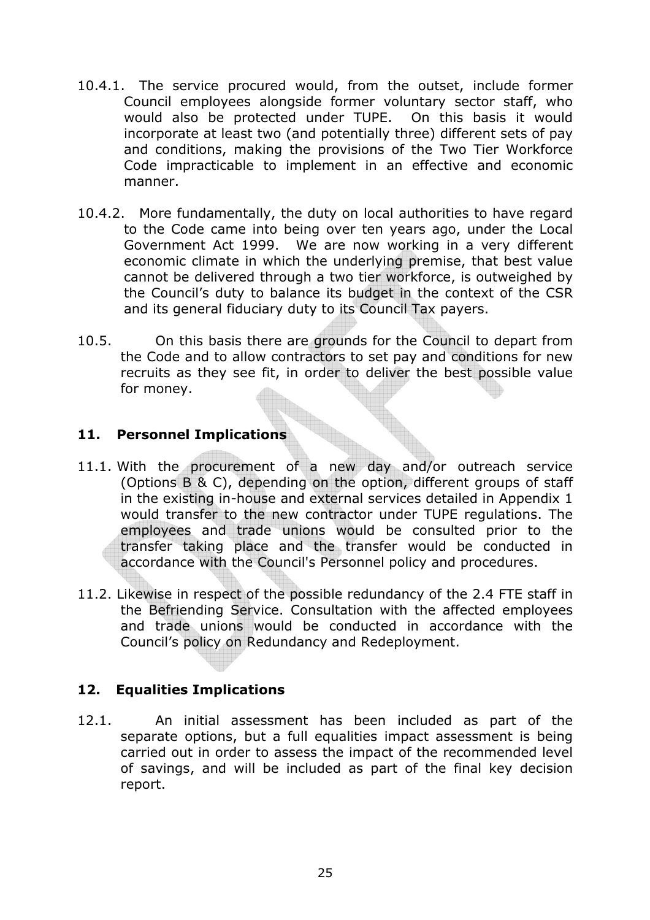- 10.4.1. The service procured would, from the outset, include former Council employees alongside former voluntary sector staff, who would also be protected under TUPE. On this basis it would incorporate at least two (and potentially three) different sets of pay and conditions, making the provisions of the Two Tier Workforce Code impracticable to implement in an effective and economic manner.
- 10.4.2. More fundamentally, the duty on local authorities to have regard to the Code came into being over ten years ago, under the Local Government Act 1999. We are now working in a very different economic climate in which the underlying premise, that best value cannot be delivered through a two tier workforce, is outweighed by the Council's duty to balance its budget in the context of the CSR and its general fiduciary duty to its Council Tax payers.
- 10.5. On this basis there are grounds for the Council to depart from the Code and to allow contractors to set pay and conditions for new recruits as they see fit, in order to deliver the best possible value for money.

### **11. Personnel Implications**

- 11.1. With the procurement of a new day and/or outreach service (Options B & C), depending on the option, different groups of staff in the existing in-house and external services detailed in Appendix 1 would transfer to the new contractor under TUPE regulations. The employees and trade unions would be consulted prior to the transfer taking place and the transfer would be conducted in accordance with the Council's Personnel policy and procedures.
- 11.2. Likewise in respect of the possible redundancy of the 2.4 FTE staff in the Befriending Service. Consultation with the affected employees and trade unions would be conducted in accordance with the Council's policy on Redundancy and Redeployment.

## **12. Equalities Implications**

12.1. An initial assessment has been included as part of the separate options, but a full equalities impact assessment is being carried out in order to assess the impact of the recommended level of savings, and will be included as part of the final key decision report.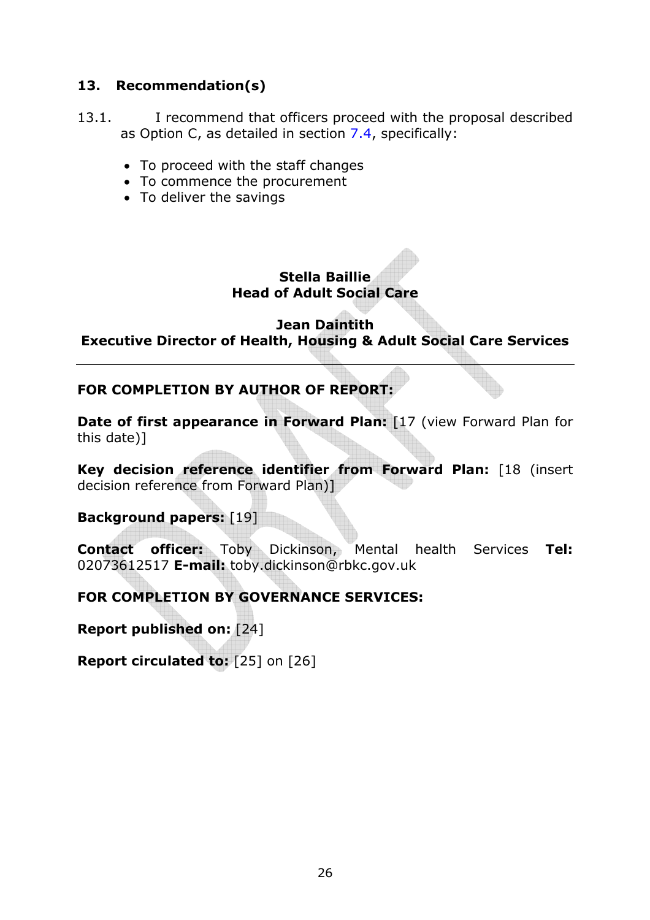### **13. Recommendation(s)**

- 13.1. I recommend that officers proceed with the proposal described as Option C, as detailed in section 7.4, specifically:
	- To proceed with the staff changes
	- To commence the procurement
	- To deliver the savings

## **Stella Baillie Head of Adult Social Care**

### **Jean Daintith Executive Director of Health, Housing & Adult Social Care Services**

## **FOR COMPLETION BY AUTHOR OF REPORT:**

**Date of first appearance in Forward Plan: [17 (view Forward Plan for** this date)]

**Key decision reference identifier from Forward Plan:** [18 (insert decision reference from Forward Plan)]

**Background papers:** [19]

**Contact officer:** Toby Dickinson, Mental health Services **Tel:** 02073612517 **E-mail:** toby.dickinson@rbkc.gov.uk

## **FOR COMPLETION BY GOVERNANCE SERVICES:**

**Report published on:** [24]

**Report circulated to:** [25] on [26]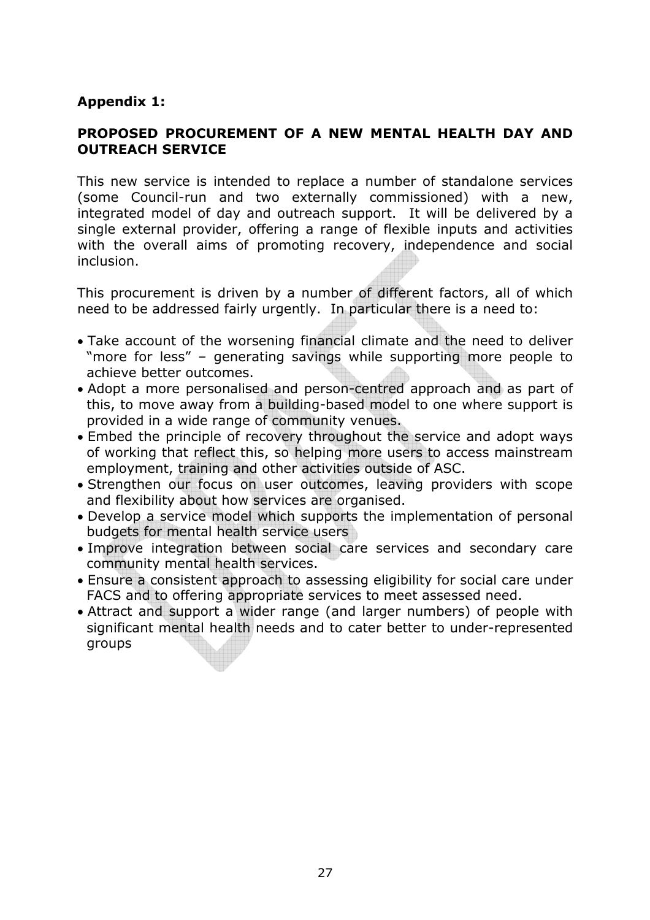### **Appendix 1:**

### **PROPOSED PROCUREMENT OF A NEW MENTAL HEALTH DAY AND OUTREACH SERVICE**

This new service is intended to replace a number of standalone services (some Council-run and two externally commissioned) with a new, integrated model of day and outreach support. It will be delivered by a single external provider, offering a range of flexible inputs and activities with the overall aims of promoting recovery, independence and social inclusion.

This procurement is driven by a number of different factors, all of which need to be addressed fairly urgently. In particular there is a need to:

- Take account of the worsening financial climate and the need to deliver "more for less" – generating savings while supporting more people to achieve better outcomes.
- Adopt a more personalised and person-centred approach and as part of this, to move away from a building-based model to one where support is provided in a wide range of community venues.
- Embed the principle of recovery throughout the service and adopt ways of working that reflect this, so helping more users to access mainstream employment, training and other activities outside of ASC.
- Strengthen our focus on user outcomes, leaving providers with scope and flexibility about how services are organised.
- Develop a service model which supports the implementation of personal budgets for mental health service users
- Improve integration between social care services and secondary care community mental health services.
- Ensure a consistent approach to assessing eligibility for social care under FACS and to offering appropriate services to meet assessed need.
- Attract and support a wider range (and larger numbers) of people with significant mental health needs and to cater better to under-represented groups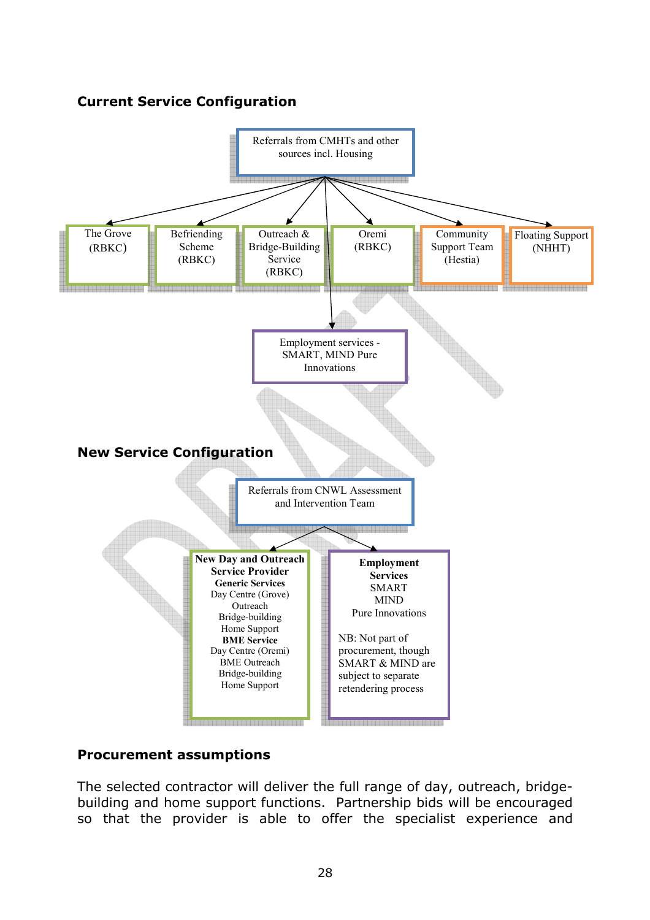## **Current Service Configuration**



## **Procurement assumptions**

The selected contractor will deliver the full range of day, outreach, bridgebuilding and home support functions. Partnership bids will be encouraged so that the provider is able to offer the specialist experience and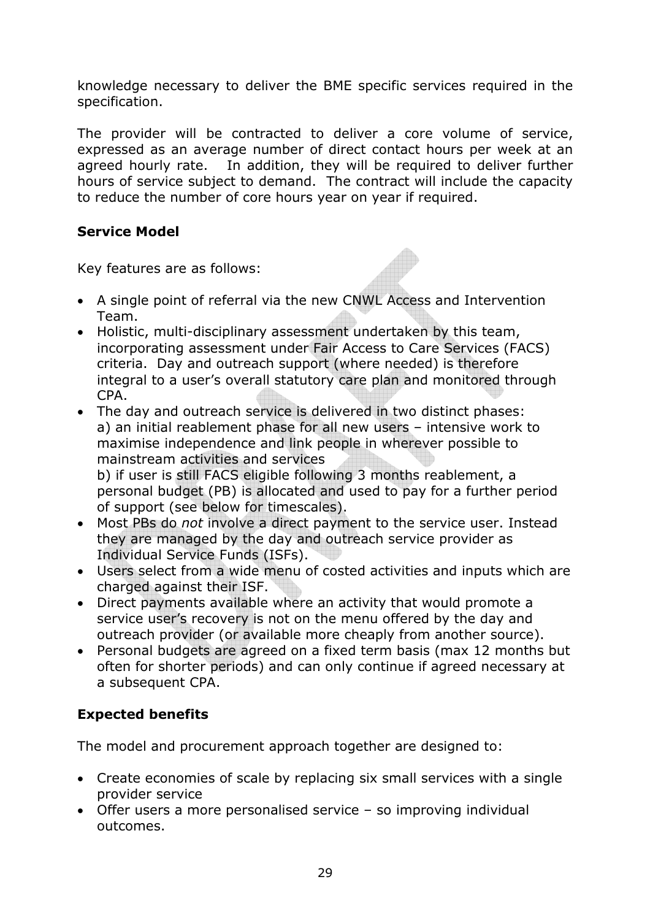knowledge necessary to deliver the BME specific services required in the specification.

The provider will be contracted to deliver a core volume of service, expressed as an average number of direct contact hours per week at an agreed hourly rate. In addition, they will be required to deliver further hours of service subject to demand. The contract will include the capacity to reduce the number of core hours year on year if required.

## **Service Model**

Key features are as follows:

- A single point of referral via the new CNWL Access and Intervention Team.
- Holistic, multi-disciplinary assessment undertaken by this team, incorporating assessment under Fair Access to Care Services (FACS) criteria. Day and outreach support (where needed) is therefore integral to a user's overall statutory care plan and monitored through CPA.
- The day and outreach service is delivered in two distinct phases: a) an initial reablement phase for all new users – intensive work to maximise independence and link people in wherever possible to mainstream activities and services b) if user is still FACS eligible following 3 months reablement, a

personal budget (PB) is allocated and used to pay for a further period of support (see below for timescales).

- Most PBs do *not* involve a direct payment to the service user. Instead they are managed by the day and outreach service provider as Individual Service Funds (ISFs).
- Users select from a wide menu of costed activities and inputs which are charged against their ISF.
- Direct payments available where an activity that would promote a service user's recovery is not on the menu offered by the day and outreach provider (or available more cheaply from another source).
- Personal budgets are agreed on a fixed term basis (max 12 months but often for shorter periods) and can only continue if agreed necessary at a subsequent CPA.

## **Expected benefits**

The model and procurement approach together are designed to:

- Create economies of scale by replacing six small services with a single provider service
- Offer users a more personalised service so improving individual outcomes.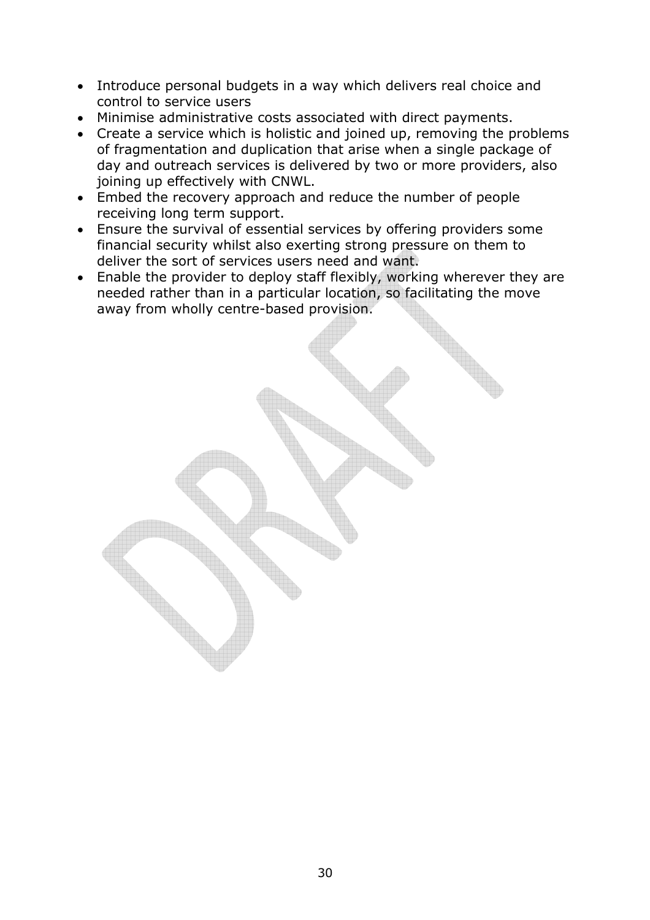- Introduce personal budgets in a way which delivers real choice and control to service users
- Minimise administrative costs associated with direct payments.
- Create a service which is holistic and joined up, removing the problems of fragmentation and duplication that arise when a single package of day and outreach services is delivered by two or more providers, also joining up effectively with CNWL.
- Embed the recovery approach and reduce the number of people receiving long term support.
- Ensure the survival of essential services by offering providers some financial security whilst also exerting strong pressure on them to deliver the sort of services users need and want.
- Enable the provider to deploy staff flexibly, working wherever they are needed rather than in a particular location, so facilitating the move away from wholly centre-based provision.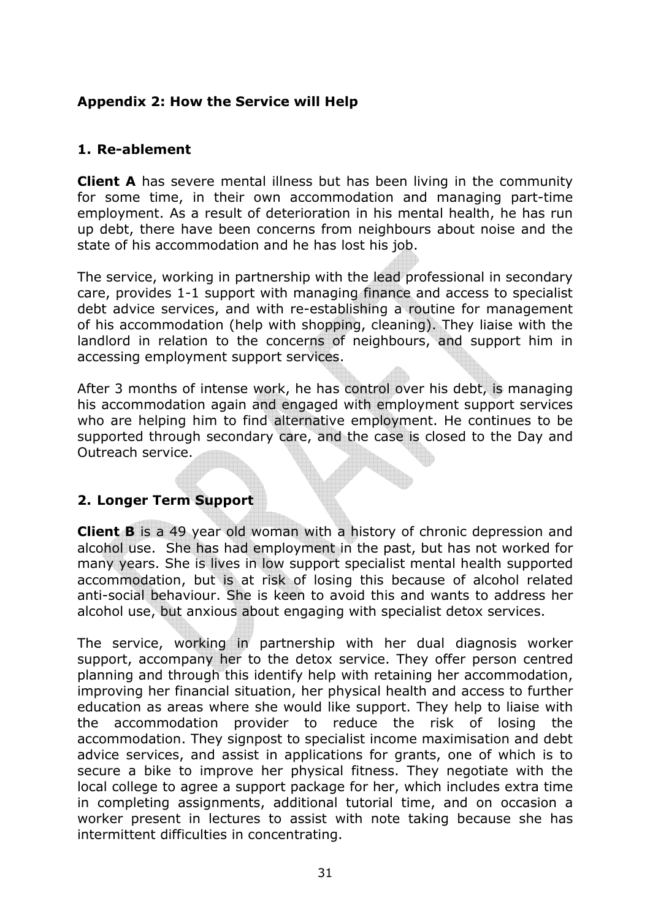### **Appendix 2: How the Service will Help**

### **1. Re-ablement**

**Client A** has severe mental illness but has been living in the community for some time, in their own accommodation and managing part-time employment. As a result of deterioration in his mental health, he has run up debt, there have been concerns from neighbours about noise and the state of his accommodation and he has lost his job.

The service, working in partnership with the lead professional in secondary care, provides 1-1 support with managing finance and access to specialist debt advice services, and with re-establishing a routine for management of his accommodation (help with shopping, cleaning). They liaise with the landlord in relation to the concerns of neighbours, and support him in accessing employment support services.

After 3 months of intense work, he has control over his debt, is managing his accommodation again and engaged with employment support services who are helping him to find alternative employment. He continues to be supported through secondary care, and the case is closed to the Day and Outreach service.

#### **2. Longer Term Support**

**Client B** is a 49 year old woman with a history of chronic depression and alcohol use. She has had employment in the past, but has not worked for many years. She is lives in low support specialist mental health supported accommodation, but is at risk of losing this because of alcohol related anti-social behaviour. She is keen to avoid this and wants to address her alcohol use, but anxious about engaging with specialist detox services.

The service, working in partnership with her dual diagnosis worker support, accompany her to the detox service. They offer person centred planning and through this identify help with retaining her accommodation, improving her financial situation, her physical health and access to further education as areas where she would like support. They help to liaise with the accommodation provider to reduce the risk of losing the accommodation. They signpost to specialist income maximisation and debt advice services, and assist in applications for grants, one of which is to secure a bike to improve her physical fitness. They negotiate with the local college to agree a support package for her, which includes extra time in completing assignments, additional tutorial time, and on occasion a worker present in lectures to assist with note taking because she has intermittent difficulties in concentrating.